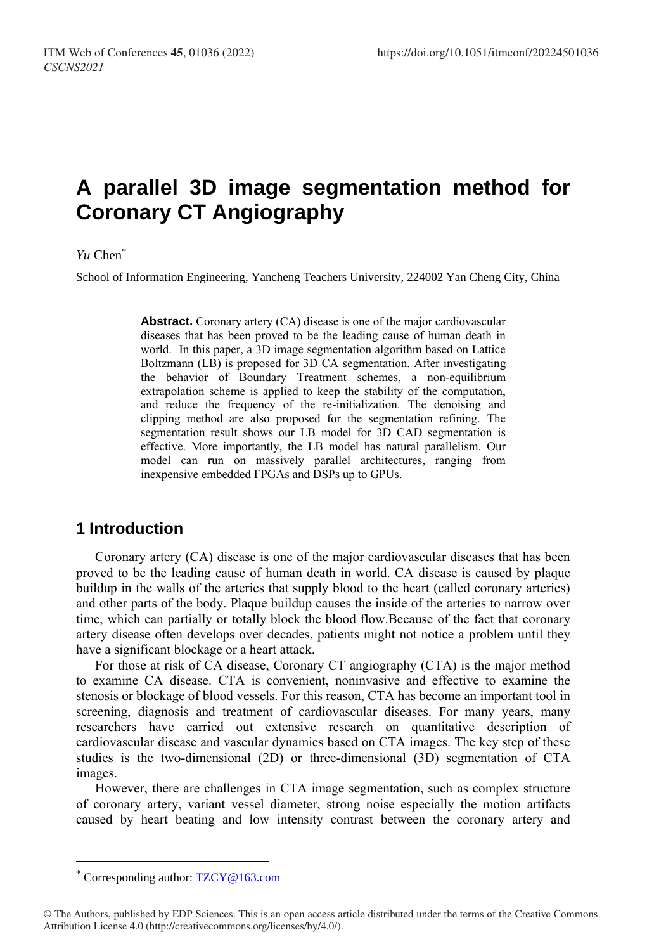# **A parallel 3D image segmentation method for Coronary CT Angiography**

### *Yu* Chen\*

School of Information Engineering, Yancheng Teachers University, 224002 Yan Cheng City, China

**Abstract.** Coronary artery (CA) disease is one of the major cardiovascular diseases that has been proved to be the leading cause of human death in world. In this paper, a 3D image segmentation algorithm based on Lattice Boltzmann (LB) is proposed for 3D CA segmentation. After investigating the behavior of Boundary Treatment schemes, a non-equilibrium extrapolation scheme is applied to keep the stability of the computation, and reduce the frequency of the re-initialization. The denoising and clipping method are also proposed for the segmentation refining. The segmentation result shows our LB model for 3D CAD segmentation is effective. More importantly, the LB model has natural parallelism. Our model can run on massively parallel architectures, ranging from inexpensive embedded FPGAs and DSPs up to GPUs.

### **1 Introduction**

Coronary artery (CA) disease is one of the major cardiovascular diseases that has been proved to be the leading cause of human death in world. CA disease is caused by plaque buildup in the walls of the arteries that supply blood to the heart (called coronary arteries) and other parts of the body. Plaque buildup causes the inside of the arteries to narrow over time, which can partially or totally block the blood flow.Because of the fact that coronary artery disease often develops over decades, patients might not notice a problem until they have a significant blockage or a heart attack.

For those at risk of CA disease, Coronary CT angiography (CTA) is the major method to examine CA disease. CTA is convenient, noninvasive and effective to examine the stenosis or blockage of blood vessels. For this reason, CTA has become an important tool in screening, diagnosis and treatment of cardiovascular diseases. For many years, many researchers have carried out extensive research on quantitative description of cardiovascular disease and vascular dynamics based on CTA images. The key step of these studies is the two-dimensional (2D) or three-dimensional (3D) segmentation of CTA images.

However, there are challenges in CTA image segmentation, such as complex structure of coronary artery, variant vessel diameter, strong noise especially the motion artifacts caused by heart beating and low intensity contrast between the coronary artery and

 $\overline{a}$ 

Corresponding author: [TZCY@16](mailto:author@email.org)3.com

<sup>©</sup> The Authors, published by EDP Sciences. This is an open access article distributed under the terms of the Creative Commons Attribution License 4.0 (http://creativecommons.org/licenses/by/4.0/).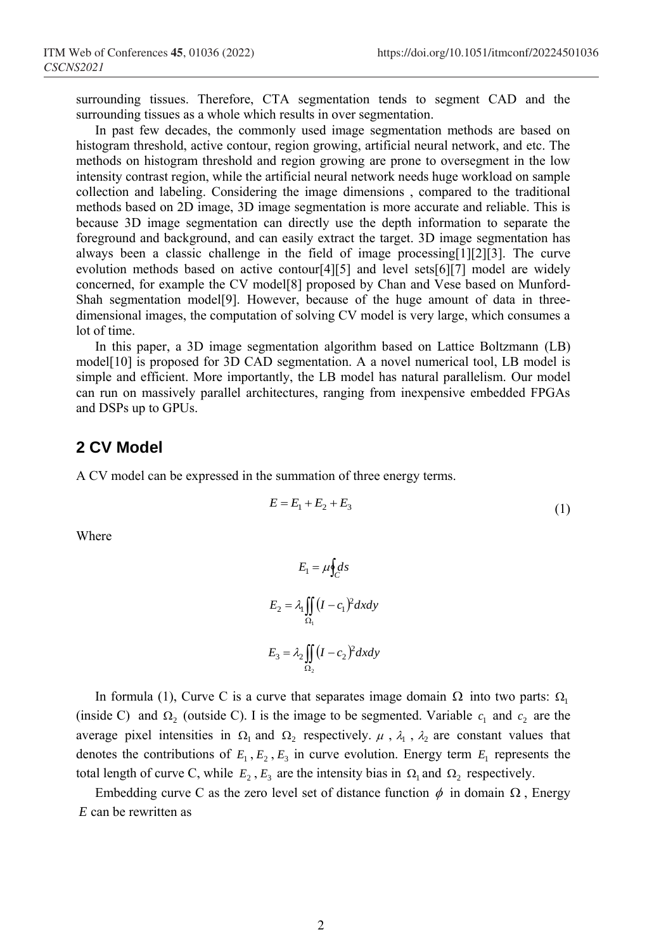surrounding tissues. Therefore, CTA segmentation tends to segment CAD and the surrounding tissues as a whole which results in over segmentation.

In past few decades, the commonly used image segmentation methods are based on histogram threshold, active contour, region growing, artificial neural network, and etc. The methods on histogram threshold and region growing are prone to oversegment in the low intensity contrast region, while the artificial neural network needs huge workload on sample collection and labeling. Considering the image dimensions , compared to the traditional methods based on 2D image, 3D image segmentation is more accurate and reliable. This is because 3D image segmentation can directly use the depth information to separate the foreground and background, and can easily extract the target. 3D image segmentation has always been a classic challenge in the field of image processing[1][2][3]. The curve evolution methods based on active contour[4][5] and level sets[6][7] model are widely concerned, for example the CV model[8] proposed by Chan and Vese based on Munford-Shah segmentation model[9]. However, because of the huge amount of data in threedimensional images, the computation of solving CV model is very large, which consumes a lot of time.

In this paper, a 3D image segmentation algorithm based on Lattice Boltzmann (LB) model[10] is proposed for 3D CAD segmentation. A a novel numerical tool, LB model is simple and efficient. More importantly, the LB model has natural parallelism. Our model can run on massively parallel architectures, ranging from inexpensive embedded FPGAs and DSPs up to GPUs.

### **2 CV Model**

A CV model can be expressed in the summation of three energy terms.

$$
E = E_1 + E_2 + E_3 \tag{1}
$$

Where

$$
E_1 = \mu \oint_C ds
$$
  
\n
$$
E_2 = \lambda_1 \iint_{\Omega_1} (I - c_1)^2 dx dy
$$
  
\n
$$
E_3 = \lambda_2 \iint_{\Omega_2} (I - c_2)^2 dx dy
$$

In formula (1), Curve C is a curve that separates image domain  $\Omega$  into two parts:  $\Omega$ <sub>1</sub> (inside C) and  $\Omega_2$  (outside C). I is the image to be segmented. Variable  $c_1$  and  $c_2$  are the average pixel intensities in  $\Omega_1$  and  $\Omega_2$  respectively.  $\mu$ ,  $\lambda_1$ ,  $\lambda_2$  are constant values that denotes the contributions of  $E_1, E_2, E_3$  in curve evolution. Energy term  $E_1$  represents the total length of curve C, while  $E_2$ ,  $E_3$  are the intensity bias in  $\Omega_1$  and  $\Omega_2$  respectively.

Embedding curve C as the zero level set of distance function  $\phi$  in domain  $\Omega$ , Energy *E* can be rewritten as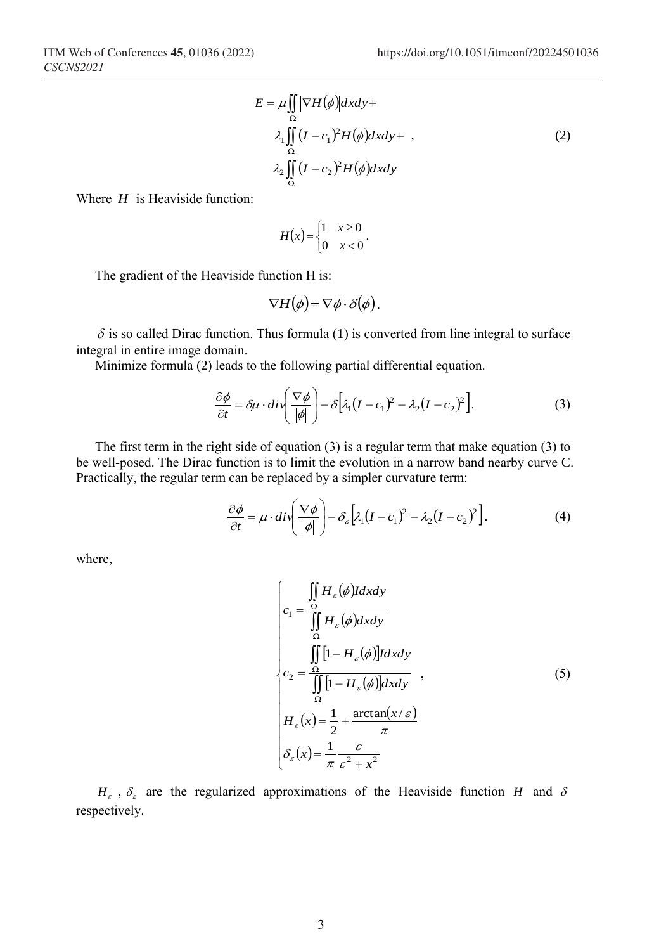$$
E = \mu \iint_{\Omega} |\nabla H(\phi)| dxdy +
$$
  
\n
$$
\lambda_1 \iint_{\Omega} (I - c_1)^2 H(\phi) dxdy + ,
$$
  
\n
$$
\lambda_2 \iint_{\Omega} (I - c_2)^2 H(\phi) dxdy
$$
\n(2)

Where *H* is Heaviside function:

$$
H(x) = \begin{cases} 1 & x \ge 0 \\ 0 & x < 0 \end{cases}.
$$

The gradient of the Heaviside function H is:

$$
\nabla H(\phi) = \nabla \phi \cdot \delta(\phi).
$$

 $\delta$  is so called Dirac function. Thus formula (1) is converted from line integral to surface integral in entire image domain.

Minimize formula (2) leads to the following partial differential equation.

$$
\frac{\partial \phi}{\partial t} = \delta \mu \cdot \frac{d\mathbf{v}}{\left|\phi\right|} - \delta \left[\lambda_1 (I - c_1)^2 - \lambda_2 (I - c_2)^2\right].\tag{3}
$$

The first term in the right side of equation (3) is a regular term that make equation (3) to be well-posed. The Dirac function is to limit the evolution in a narrow band nearby curve C. Practically, the regular term can be replaced by a simpler curvature term:

$$
\frac{\partial \phi}{\partial t} = \mu \cdot \frac{d\mathbf{i}}{\phi} \left( \frac{\nabla \phi}{|\phi|} \right) - \delta_{\varepsilon} \left[ \lambda_1 (I - c_1)^2 - \lambda_2 (I - c_2)^2 \right]. \tag{4}
$$

where,

$$
\begin{cases}\nc_1 = \frac{\iint\limits_{\Omega} H_{\varepsilon}(\phi) \, dxdy} {\iint\limits_{\Omega} H_{\varepsilon}(\phi) \, dxdy} \\
c_2 = \frac{\iint\limits_{\Omega} [1 - H_{\varepsilon}(\phi)] \, dxdy} {\iint\limits_{\Omega} [1 - H_{\varepsilon}(\phi)] \, dxdy} ,\n\end{cases} \tag{5}
$$
\n
$$
H_{\varepsilon}(x) = \frac{1}{2} + \frac{\arctan(x/\varepsilon)}{\pi}
$$
\n
$$
\delta_{\varepsilon}(x) = \frac{1}{\pi} \frac{\varepsilon}{\varepsilon^2 + x^2}
$$

 $H_{\varepsilon}$ ,  $\delta_{\varepsilon}$  are the regularized approximations of the Heaviside function *H* and  $\delta$ respectively.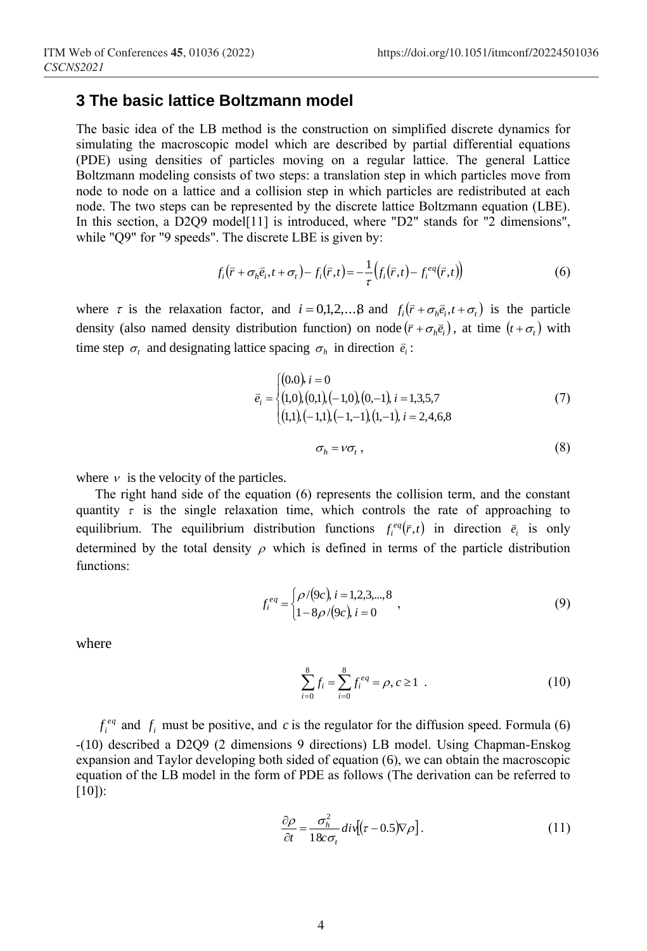### **3 The basic lattice Boltzmann model**

The basic idea of the LB method is the construction on simplified discrete dynamics for simulating the macroscopic model which are described by partial differential equations (PDE) using densities of particles moving on a regular lattice. The general Lattice Boltzmann modeling consists of two steps: a translation step in which particles move from node to node on a lattice and a collision step in which particles are redistributed at each node. The two steps can be represented by the discrete lattice Boltzmann equation (LBE). In this section, a D2Q9 model<sup>[11]</sup> is introduced, where "D2" stands for "2 dimensions", while "Q9" for "9 speeds". The discrete LBE is given by:

$$
f_i(\vec{r} + \sigma_h \vec{e}_i, t + \sigma_t) - f_i(\vec{r}, t) = -\frac{1}{\tau} \left( f_i(\vec{r}, t) - f_i^{eq}(\vec{r}, t) \right)
$$
(6)

where  $\tau$  is the relaxation factor, and  $i = 0,1,2,...,8$  and  $f_i(\bar{r} + \sigma_h \bar{e}_i, t + \sigma_t)$  is the particle density (also named density distribution function) on node  $(\bar{r} + \sigma_h \bar{e}_i)$ , at time  $(t + \sigma_t)$  with time step  $\sigma_i$  and designating lattice spacing  $\sigma_h$  in direction  $\vec{e}_i$ :

$$
\vec{e}_i = \begin{cases}\n(0.0), i = 0 \\
(1.0), (0.1), (-1.0), (0,-1), i = 1,3,5,7 \\
(1.1), (-1.1), (-1,-1), (1,-1), i = 2,4,6,8\n\end{cases}
$$
\n(7)

$$
\sigma_h = v \sigma_t \,, \tag{8}
$$

where  $\nu$  is the velocity of the particles.

The right hand side of the equation (6) represents the collision term, and the constant quantity  $\tau$  is the single relaxation time, which controls the rate of approaching to equilibrium. The equilibrium distribution functions  $f_i^{eq}(\vec{r},t)$  in direction  $\vec{e}_i$  is only determined by the total density  $\rho$  which is defined in terms of the particle distribution functions:

$$
f_i^{eq} = \begin{cases} \rho/(9c), i = 1, 2, 3, \dots, 8 \\ 1 - 8\rho/(9c), i = 0 \end{cases}
$$
 (9)

where

$$
\sum_{i=0}^{8} f_i = \sum_{i=0}^{8} f_i^{eq} = \rho, c \ge 1 \tag{10}
$$

 $f_i^{eq}$  and  $f_i$  must be positive, and c is the regulator for the diffusion speed. Formula (6) -(10) described a D2Q9 (2 dimensions 9 directions) LB model. Using Chapman-Enskog expansion and Taylor developing both sided of equation (6), we can obtain the macroscopic equation of the LB model in the form of PDE as follows (The derivation can be referred to [10]):

$$
\frac{\partial \rho}{\partial t} = \frac{\sigma_h^2}{18c\sigma_t} \operatorname{div}[(\tau - 0.5)\nabla \rho]. \tag{11}
$$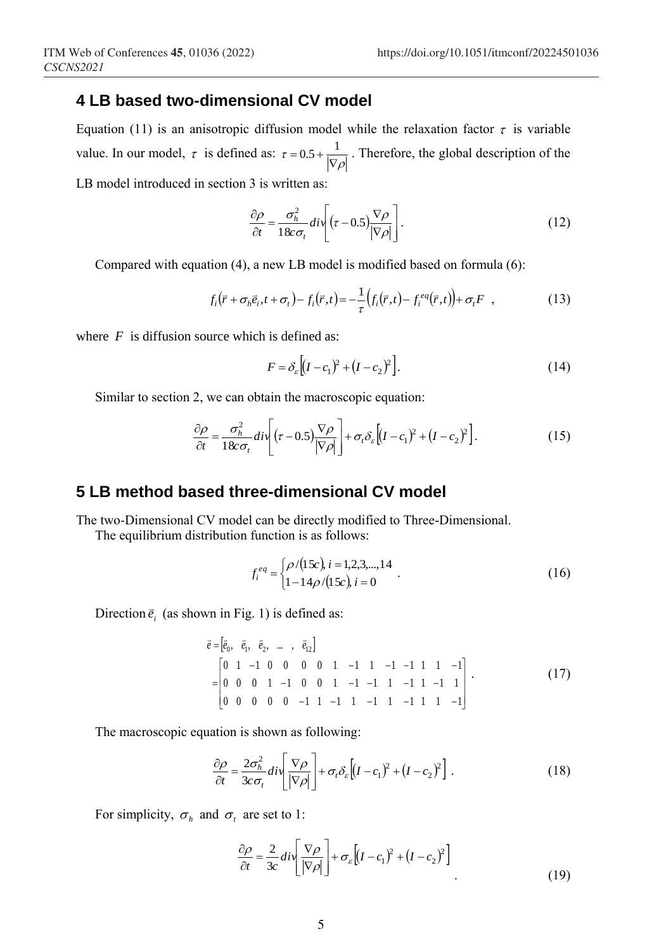## **4 LB based two-dimensional CV model**

Equation (11) is an anisotropic diffusion model while the relaxation factor  $\tau$  is variable value. In our model,  $\tau$  is defined as:  $\tau = 0.5 + \frac{1}{|\nabla \rho|}$ . Therefore, the global description of the LB model introduced in section 3 is written as:

$$
\frac{\partial \rho}{\partial t} = \frac{\sigma_h^2}{18c\sigma_t} \, div \left[ (\tau - 0.5) \frac{\nabla \rho}{|\nabla \rho|} \right]. \tag{12}
$$

Compared with equation (4), a new LB model is modified based on formula (6):

$$
f_i(\vec{r} + \sigma_h \vec{e}_i, t + \sigma_t) - f_i(\vec{r}, t) = -\frac{1}{\tau} \left( f_i(\vec{r}, t) - f_i^{eq}(\vec{r}, t) \right) + \sigma_t F \quad , \tag{13}
$$

where  $F$  is diffusion source which is defined as:

$$
F = \delta_{\varepsilon} \left[ (I - c_1)^2 + (I - c_2)^2 \right].
$$
 (14)

Similar to section 2, we can obtain the macroscopic equation:

$$
\frac{\partial \rho}{\partial t} = \frac{\sigma_h^2}{18c\sigma_t} \, div \left[ (\tau - 0.5) \frac{\nabla \rho}{|\nabla \rho|} \right] + \sigma_t \delta_\varepsilon \left[ (I - c_1)^2 + (I - c_2)^2 \right]. \tag{15}
$$

### **5 LB method based three-dimensional CV model**

The two-Dimensional CV model can be directly modified to Three-Dimensional.

The equilibrium distribution function is as follows:

$$
f_i^{eq} = \begin{cases} \rho/(15c), i = 1, 2, 3, \dots, 14 \\ 1 - 14\rho/(15c), i = 0 \end{cases} . \tag{16}
$$

Direction  $\vec{e}_i$  (as shown in Fig. 1) is defined as:

$$
\begin{aligned}\n\vec{e} &= \begin{bmatrix} \vec{e}_0, & \vec{e}_1, & \vec{e}_2, & \dots, & \vec{e}_{12} \end{bmatrix} \\
&= \begin{bmatrix} 0 & 1 & -1 & 0 & 0 & 0 & 0 & 1 & -1 & 1 & -1 & -1 & 1 & 1 & -1 \\
0 & 0 & 0 & 1 & -1 & 0 & 0 & 1 & -1 & -1 & 1 & -1 & 1 & -1 & 1 \\
0 & 0 & 0 & 0 & 0 & -1 & 1 & -1 & 1 & -1 & 1 & -1 & 1 & -1 & 1\n\end{bmatrix}.\n\end{aligned}\n\tag{17}
$$

The macroscopic equation is shown as following:

$$
\frac{\partial \rho}{\partial t} = \frac{2\sigma_h^2}{3c\sigma_t} \, \frac{div}{|\nabla \rho|} \left[ + \sigma_t \delta_\varepsilon \left[ (I - c_1)^2 + (I - c_2)^2 \right] \right] \,. \tag{18}
$$

For simplicity,  $\sigma_h$  and  $\sigma_t$  are set to 1:

$$
\frac{\partial \rho}{\partial t} = \frac{2}{3c} \operatorname{div} \left[ \frac{\nabla \rho}{|\nabla \rho|} \right] + \sigma_{\varepsilon} \left[ (I - c_1)^2 + (I - c_2)^2 \right] \tag{19}
$$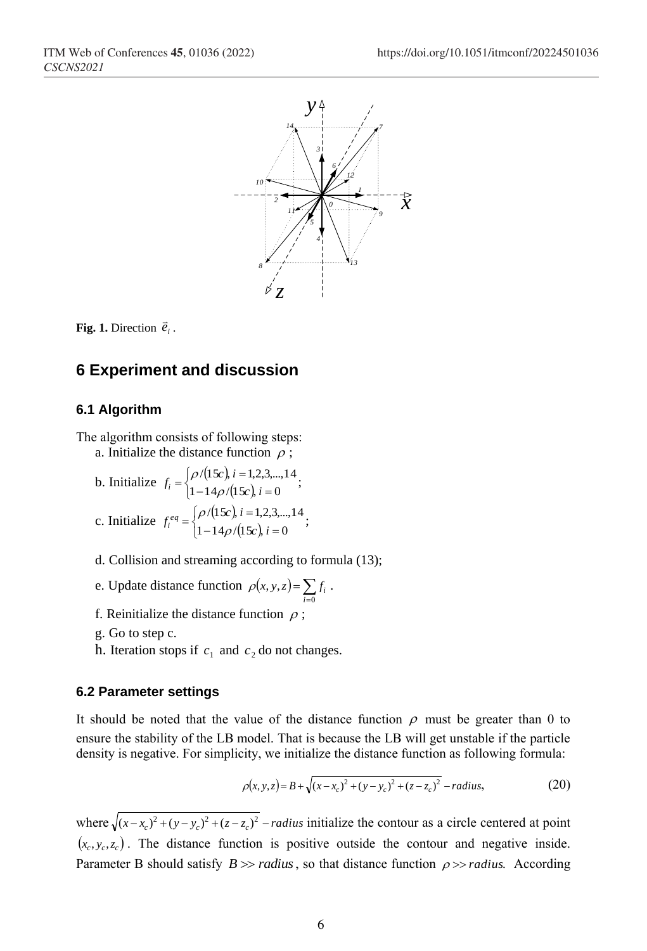



### **6 Experiment and discussion**

#### **6.1 Algorithm**

The algorithm consists of following steps:

- a. Initialize the distance function  $\rho$ ;
- b. Initialize  $f_i = \begin{cases} \rho/(15c), \\ 1, & \text{if } i \neq j \end{cases}$  $\int \rho/(15c), i = 1,$ <br> $\left(1 - 14\rho/(15c)\right)$  $-14\rho/(15c)$ , i =  $= \begin{cases} \rho/(15c), i = 1, 2, 3, ... \\ 1 - 14 \rho/(15c), i = 0 \end{cases}$  $/(15c), i=1,2,3,...,14$ *c i*  $f_i = \begin{cases} \rho/(15c), i \\ 1-14\rho/(15c) \end{cases}$  $\rho$ /(15c),  $i = 1, 2, 3, ..., 14$ ;
- c. Initialize  $f_i^{eq} = \begin{cases} \rho/(15c), \\ 1, & \text{if } i \neq j \end{cases}$  $\int \rho/(15c), i = 1,$ <br> $\left(1 - 14 \rho/(15c)\right)$  $-14\rho/(15c)$ , i =  $=\begin{cases} \rho/(15c), i=1,2,3,...\\ 1-14\rho/(15c), i=0 \end{cases}$  $/(15c), i=1,2,3,...,14$ *c i*  $f_i^{eq} = \begin{cases} \rho/(15c), i \\ 1 - 14\rho/(15c) \end{cases}$  $\rho$ /(15c),  $i = 1, 2, 3, ..., 14$ ;
- d. Collision and streaming according to formula (13);
- e. Update distance function  $\rho(x, y, z) = \sum_{i=0}^{\infty}$ 0 , ,  $\rho(x, y, z) = \sum_{i=0}^{z} f_i$ .
- f. Reinitialize the distance function  $\rho$ ;
- g. Go to step c.
- h. Iteration stops if  $c_1$  and  $c_2$  do not changes.

### **6.2 Parameter settings**

It should be noted that the value of the distance function  $\rho$  must be greater than 0 to ensure the stability of the LB model. That is because the LB will get unstable if the particle density is negative. For simplicity, we initialize the distance function as following formula:

$$
\rho(x, y, z) = B + \sqrt{(x - x_c)^2 + (y - y_c)^2 + (z - z_c)^2} - radius,\tag{20}
$$

where  $\sqrt{(x-x_c)^2 + (y-y_c)^2 + (z-z_c)^2}$  *– radius* initialize the contour as a circle centered at point  $(x_c, y_c, z_c)$ . The distance function is positive outside the contour and negative inside. Parameter B should satisfy  $B \gg$  *radius*, so that distance function  $\rho \gg$  *radius*. According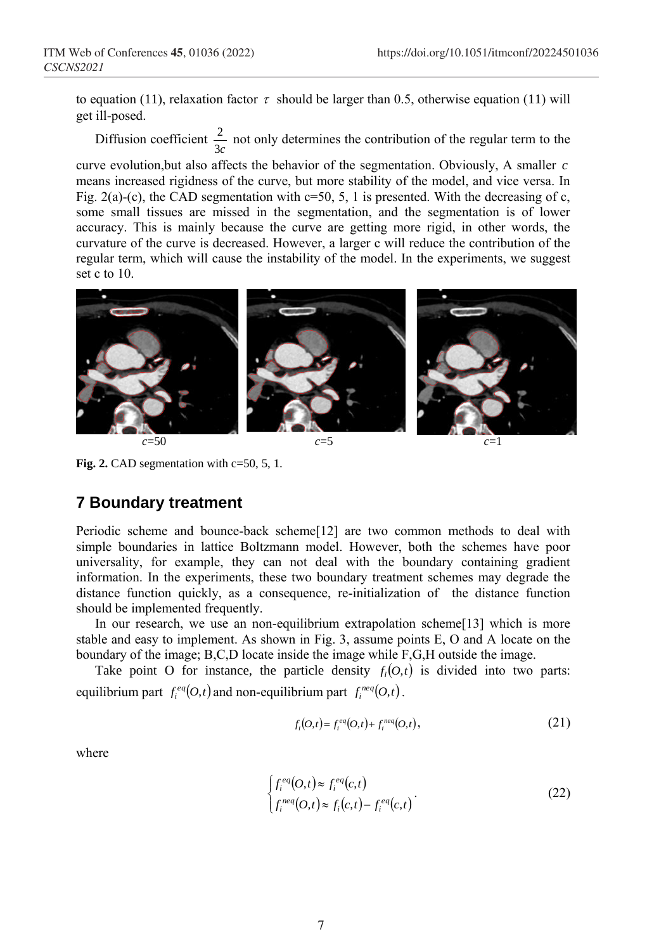to equation (11), relaxation factor  $\tau$  should be larger than 0.5, otherwise equation (11) will get ill-posed.

Diffusion coefficient  $\frac{2}{3c}$  $\frac{2}{x}$  not only determines the contribution of the regular term to the

curve evolution,but also affects the behavior of the segmentation. Obviously, A smaller *c* means increased rigidness of the curve, but more stability of the model, and vice versa. In Fig. 2(a)-(c), the CAD segmentation with  $c=50$ , 5, 1 is presented. With the decreasing of c, some small tissues are missed in the segmentation, and the segmentation is of lower accuracy. This is mainly because the curve are getting more rigid, in other words, the curvature of the curve is decreased. However, a larger c will reduce the contribution of the regular term, which will cause the instability of the model. In the experiments, we suggest set c to 10.



Fig. 2. CAD segmentation with c=50, 5, 1.

# **7 Boundary treatment**

Periodic scheme and bounce-back scheme[12] are two common methods to deal with simple boundaries in lattice Boltzmann model. However, both the schemes have poor universality, for example, they can not deal with the boundary containing gradient information. In the experiments, these two boundary treatment schemes may degrade the distance function quickly, as a consequence, re-initialization of the distance function should be implemented frequently.

In our research, we use an non-equilibrium extrapolation scheme[13] which is more stable and easy to implement. As shown in Fig. 3, assume points E, O and A locate on the boundary of the image; B,C,D locate inside the image while F,G,H outside the image.

Take point O for instance, the particle density  $f_i(0,t)$  is divided into two parts: equilibrium part  $f_i^{eq}(O,t)$  and non-equilibrium part  $f_i^{neq}(O,t)$ .

$$
f_i(O,t) = f_i^{eq}(O,t) + f_i^{neg}(O,t),
$$
\n
$$
(21)
$$

where

$$
\begin{cases}\nf_i^{eq}(O,t) \approx f_i^{eq}(c,t) \\
f_i^{neq}(O,t) \approx f_i(c,t) - f_i^{eq}(c,t)\n\end{cases} \tag{22}
$$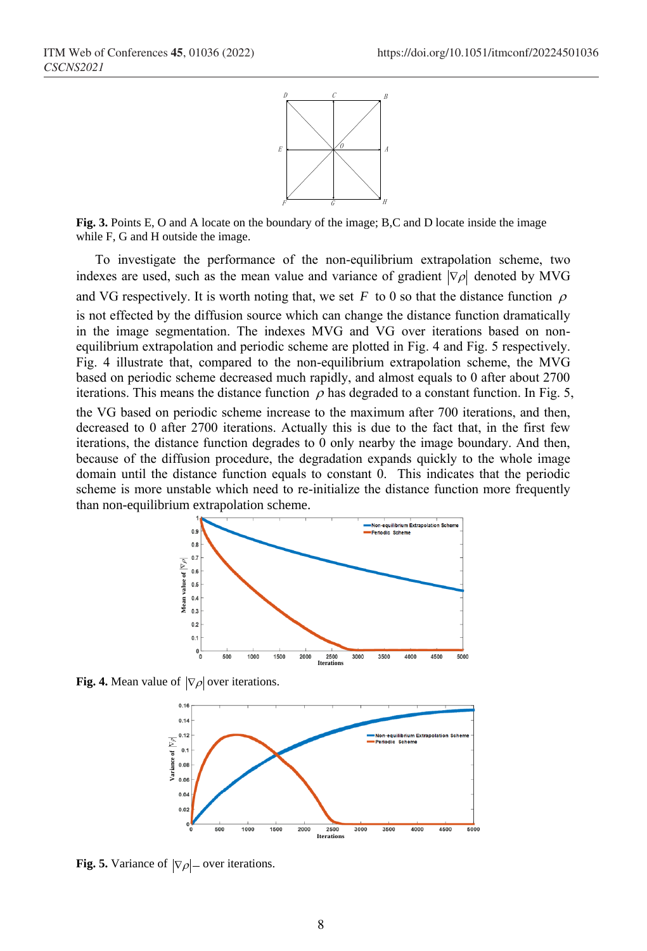

**Fig. 3.** Points E, O and A locate on the boundary of the image; B,C and D locate inside the image while F, G and H outside the image.

To investigate the performance of the non-equilibrium extrapolation scheme, two indexes are used, such as the mean value and variance of gradient  $|\nabla \rho|$  denoted by MVG and VG respectively. It is worth noting that, we set F to 0 so that the distance function  $\rho$ is not effected by the diffusion source which can change the distance function dramatically in the image segmentation. The indexes MVG and VG over iterations based on nonequilibrium extrapolation and periodic scheme are plotted in Fig. 4 and Fig. 5 respectively. Fig. 4 illustrate that, compared to the non-equilibrium extrapolation scheme, the MVG based on periodic scheme decreased much rapidly, and almost equals to 0 after about 2700 iterations. This means the distance function  $\rho$  has degraded to a constant function. In Fig. 5,

the VG based on periodic scheme increase to the maximum after 700 iterations, and then, decreased to 0 after 2700 iterations. Actually this is due to the fact that, in the first few iterations, the distance function degrades to  $\ddot{0}$  only nearby the image boundary. And then, because of the diffusion procedure, the degradation expands quickly to the whole image domain until the distance function equals to constant 0. This indicates that the periodic scheme is more unstable which need to re-initialize the distance function more frequently than non-equilibrium extrapolation scheme.



**Fig. 4.** Mean value of  $|\nabla \rho|$  over iterations.



**Fig. 5.** Variance of  $|\nabla \rho|$  – over iterations.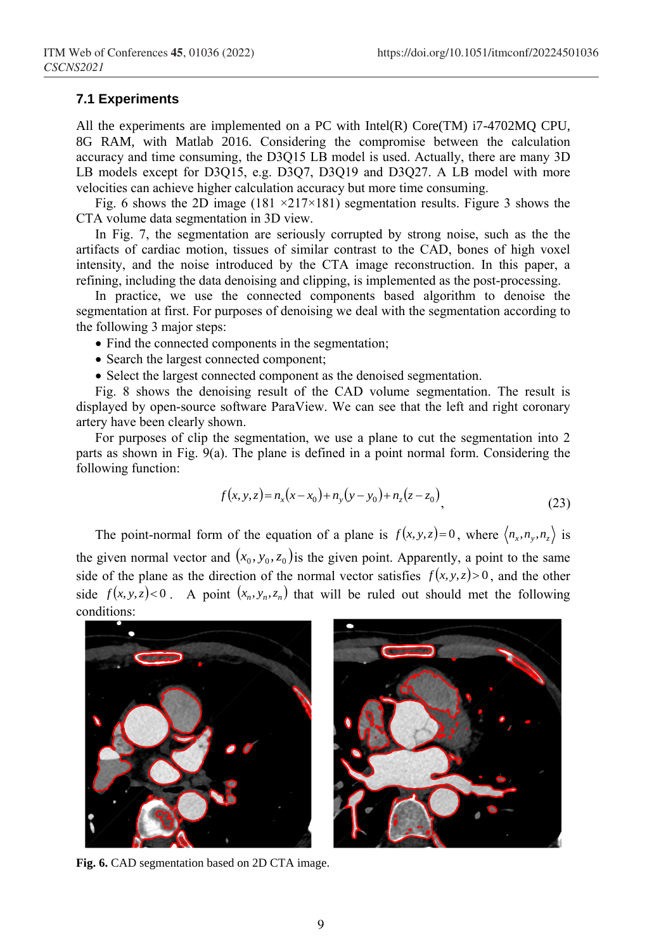#### **7.1 Experiments**

All the experiments are implemented on a PC with Intel(R) Core(TM)  $i7-4702MQ$  CPU, 8G RAM, with Matlab 2016. Considering the compromise between the calculation accuracy and time consuming, the D3Q15 LB model is used. Actually, there are many 3D LB models except for D3Q15, e.g. D3Q7, D3Q19 and D3Q27. A LB model with more velocities can achieve higher calculation accuracy but more time consuming.

Fig. 6 shows the 2D image (181  $\times$ 217 $\times$ 181) segmentation results. Figure 3 shows the CTA volume data segmentation in 3D view.

In Fig. 7, the segmentation are seriously corrupted by strong noise, such as the the artifacts of cardiac motion, tissues of similar contrast to the CAD, bones of high voxel intensity, and the noise introduced by the CTA image reconstruction. In this paper, a refining, including the data denoising and clipping, is implemented as the post-processing.

In practice, we use the connected components based algorithm to denoise the segmentation at first. For purposes of denoising we deal with the segmentation according to the following 3 major steps:

- Find the connected components in the segmentation;
- Search the largest connected component;
- Select the largest connected component as the denoised segmentation.

Fig. 8 shows the denoising result of the CAD volume segmentation. The result is displayed by open-source software ParaView. We can see that the left and right coronary artery have been clearly shown.

For purposes of clip the segmentation, we use a plane to cut the segmentation into 2 parts as shown in Fig. 9(a). The plane is defined in a point normal form. Considering the following function:

$$
f(x, y, z) = n_x(x - x_0) + n_y(y - y_0) + n_z(z - z_0),
$$
\n(23)

The point-normal form of the equation of a plane is  $f(x, y, z) = 0$ , where  $\langle n_x, n_y, n_z \rangle$  is the given normal vector and  $(x_0, y_0, z_0)$  is the given point. Apparently, a point to the same side of the plane as the direction of the normal vector satisfies  $f(x, y, z) > 0$ , and the other side  $f(x, y, z) < 0$ . A point  $(x_n, y_n, z_n)$  that will be ruled out should met the following conditions:



**Fig. 6.** CAD segmentation based on 2D CTA image.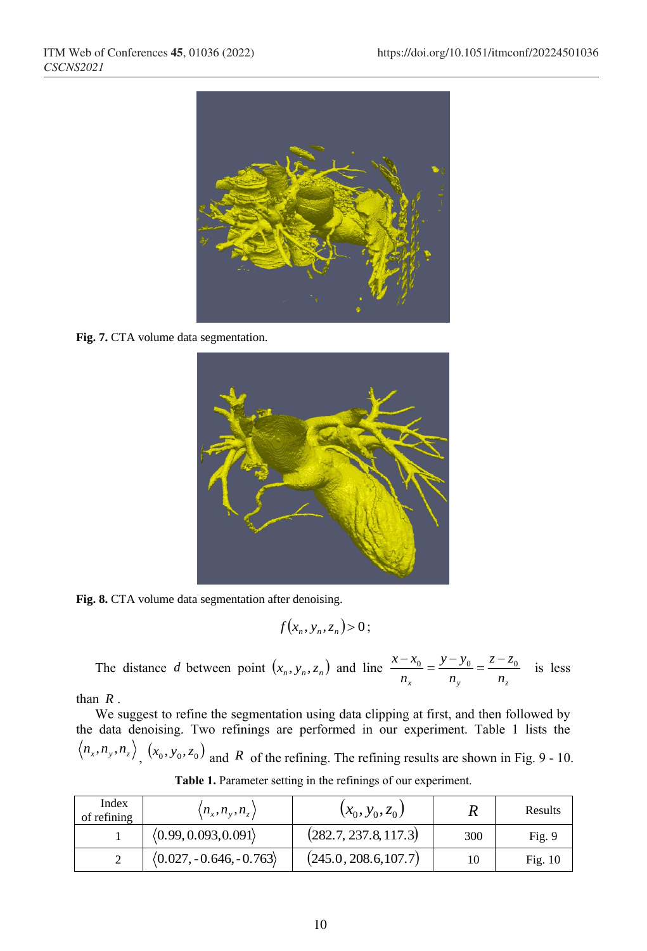

**Fig. 7.** CTA volume data segmentation.



Fig. 8. CTA volume data segmentation after denoising.

$$
f(x_n, y_n, z_n) > 0;
$$

The distance *d* between point  $(x_n, y_n, z_n)$  and line  $\frac{x - x_0}{n_x} = \frac{y - y_0}{n_y} = \frac{z - z_0}{n_z}$ *z z n y y n*  $\frac{x - x_0}{x - y_0} = \frac{y - y_0}{y - z_0} = \frac{z - z_0}{z - z_0}$  is less

than *R* .

We suggest to refine the segmentation using data clipping at first, and then followed by the data denoising. Two refinings are performed in our experiment. Table 1 lists the  $n_x, n_y, n_z$ ,  $(x_0, y_0, z_0)$  and R of the refining. The refining results are shown in Fig. 9 - 10.

| Index<br>of refining | $\langle n_x,n_y,n_z\rangle$            | $(x_0, y_0, z_0)$     |     | Results   |
|----------------------|-----------------------------------------|-----------------------|-----|-----------|
|                      | (0.99, 0.093, 0.091)                    | (282.7, 237.8, 117.3) | 300 | Fig. 9    |
|                      | $\langle 0.027, -0.646, -0.763 \rangle$ | (245.0, 208.6, 107.7) | 10  | Fig. $10$ |

**Table 1.** Parameter setting in the refinings of our experiment.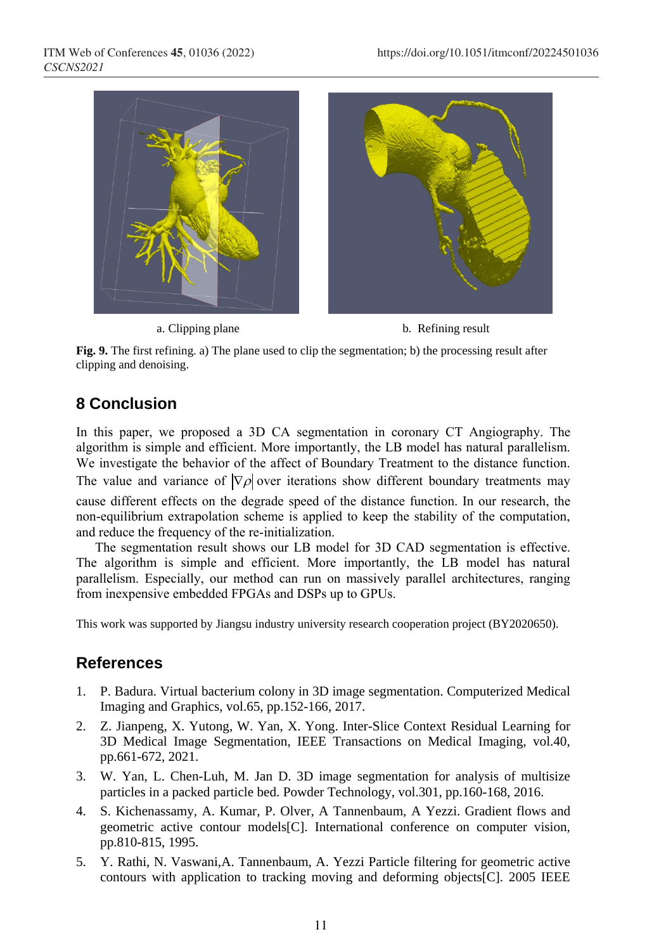

a. Clipping plane b. Refining result

**Fig. 9.** The first refining. a) The plane used to clip the segmentation; b) the processing result after clipping and denoising.

# **8 Conclusion**

In this paper, we proposed a 3D CA segmentation in coronary CT Angiography. The algorithm is simple and efficient. More importantly, the LB model has natural parallelism. We investigate the behavior of the affect of Boundary Treatment to the distance function. The value and variance of  $|\nabla \rho|$  over iterations show different boundary treatments may cause different effects on the degrade speed of the distance function. In our research, the non-equilibrium extrapolation scheme is applied to keep the stability of the computation, and reduce the frequency of the re-initialization.

The segmentation result shows our LB model for 3D CAD segmentation is effective. The algorithm is simple and efficient. More importantly, the LB model has natural parallelism. Especially, our method can run on massively parallel architectures, ranging from inexpensive embedded FPGAs and DSPs up to GPUs.

This work was supported by Jiangsu industry university research cooperation project (BY2020650).

# **References**

- 1. P. Badura. Virtual bacterium colony in 3D image segmentation. Computerized Medical Imaging and Graphics, vol.65, pp.152-166, 2017.
- 2. Z. Jianpeng, X. Yutong, W. Yan, X. Yong. Inter-Slice Context Residual Learning for 3D Medical Image Segmentation, IEEE Transactions on Medical Imaging, vol.40, pp.661-672, 2021.
- 3. W. Yan, L. Chen-Luh, M. Jan D. 3D image segmentation for analysis of multisize particles in a packed particle bed. Powder Technology, vol.301, pp.160-168, 2016.
- 4. S. Kichenassamy, A. Kumar, P. Olver, A Tannenbaum, A Yezzi. Gradient flows and geometric active contour models[C]. International conference on computer vision, pp.810-815, 1995.
- 5. Y. Rathi, N. Vaswani,A. Tannenbaum, A. Yezzi Particle filtering for geometric active contours with application to tracking moving and deforming objects[C]. 2005 IEEE